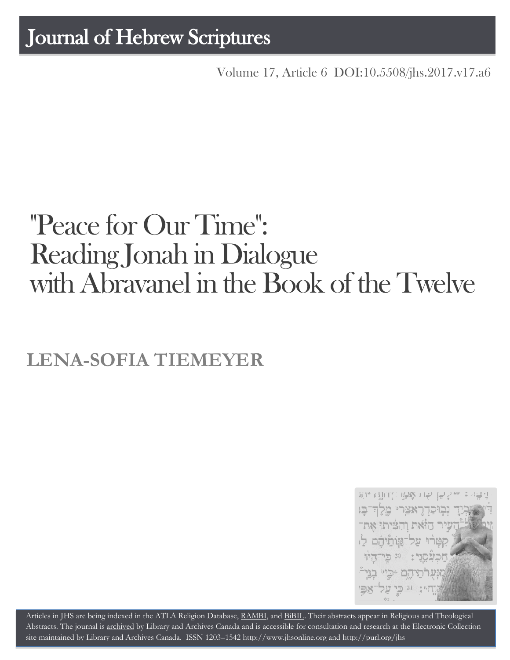# Journal of Hebrew Scriptures

Volume 17, Article 6 [DOI:10.5508/jhs.2017.v17.a6](http://dx.doi.org/10.5508/jhs.2017.v17.a6)

# "Peace for Our Time": Reading Jonah in Dialogue with Abravanel in the Book of the Twelve

# **LENA-SOFIA TIEMEYER**



Articles in JHS are being indexed in the ATLA Religion Database, [RAMBI,](http://jnul.huji.ac.il/rambi/) and [BiBIL.](http://bibil.net/) Their abstracts appear in Religious and Theological Abstracts. The journal is [archived](http://epe.lac-bac.gc.ca/100/201/300/journal_hebrew/index.html) by Library and Archives Canada and is accessible for consultation and research at the Electronic Collection site maintained by [Library and Archives Canada.](http://collectionscanada.ca/electroniccollection/003008-200-e.html) ISSN 1203–154[2 http://www.jhsonline.org](http://www.jhsonline.org/) and<http://purl.org/jhs>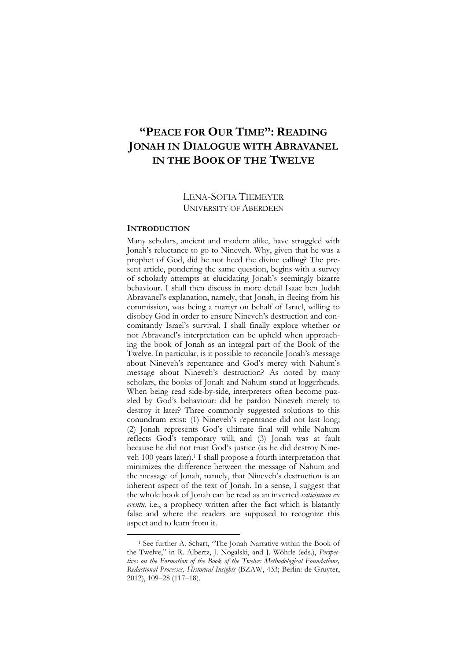# **"PEACE FOR OUR TIME": READING JONAH IN DIALOGUE WITH ABRAVANEL IN THE BOOK OF THE TWELVE**

# LENA-SOFIA TIEMEYER UNIVERSITY OF ABERDEEN

# **INTRODUCTION**

 $\overline{a}$ 

Many scholars, ancient and modern alike, have struggled with Jonah's reluctance to go to Nineveh. Why, given that he was a prophet of God, did he not heed the divine calling? The present article, pondering the same question, begins with a survey of scholarly attempts at elucidating Jonah's seemingly bizarre behaviour. I shall then discuss in more detail Isaac ben Judah Abravanel's explanation, namely, that Jonah, in fleeing from his commission, was being a martyr on behalf of Israel, willing to disobey God in order to ensure Nineveh's destruction and concomitantly Israel's survival. I shall finally explore whether or not Abravanel's interpretation can be upheld when approaching the book of Jonah as an integral part of the Book of the Twelve. In particular, is it possible to reconcile Jonah's message about Nineveh's repentance and God's mercy with Nahum's message about Nineveh's destruction? As noted by many scholars, the books of Jonah and Nahum stand at loggerheads. When being read side-by-side, interpreters often become puzzled by God's behaviour: did he pardon Nineveh merely to destroy it later? Three commonly suggested solutions to this conundrum exist: (1) Nineveh's repentance did not last long; (2) Jonah represents God's ultimate final will while Nahum reflects God's temporary will; and (3) Jonah was at fault because he did not trust God's justice (as he did destroy Nineveh 100 years later).<sup>1</sup> I shall propose a fourth interpretation that minimizes the difference between the message of Nahum and the message of Jonah, namely, that Nineveh's destruction is an inherent aspect of the text of Jonah. In a sense, I suggest that the whole book of Jonah can be read as an inverted *vaticinium ex eventu*, i.e., a prophecy written after the fact which is blatantly false and where the readers are supposed to recognize this aspect and to learn from it.

<sup>1</sup> See further A. Schart, "The Jonah-Narrative within the Book of the Twelve," in R. Albertz, J. Nogalski, and J. Wöhrle (eds.), *Perspectives on the Formation of the Book of the Twelve: Methodological Foundations, Redactional Processes, Historical Insights* (BZAW, 433; Berlin: de Gruyter, 2012), 109–28 (117–18).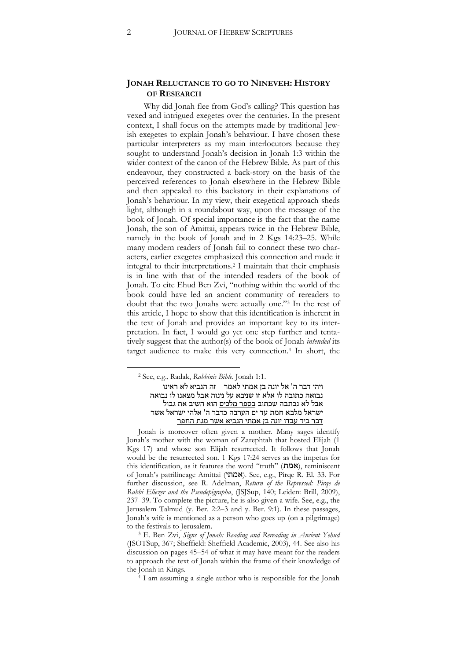# **JONAH RELUCTANCE TO GO TO NINEVEH: HISTORY OF RESEARCH**

Why did Jonah flee from God's calling? This question has vexed and intrigued exegetes over the centuries. In the present context, I shall focus on the attempts made by traditional Jewish exegetes to explain Jonah's behaviour. I have chosen these particular interpreters as my main interlocutors because they sought to understand Jonah's decision in Jonah 1:3 within the wider context of the canon of the Hebrew Bible. As part of this endeavour, they constructed a back-story on the basis of the perceived references to Jonah elsewhere in the Hebrew Bible and then appealed to this backstory in their explanations of Jonah's behaviour. In my view, their exegetical approach sheds light, although in a roundabout way, upon the message of the book of Jonah. Of special importance is the fact that the name Jonah, the son of Amittai, appears twice in the Hebrew Bible, namely in the book of Jonah and in 2 Kgs 14:23–25. While many modern readers of Jonah fail to connect these two characters, earlier exegetes emphasized this connection and made it integral to their interpretations.<sup>2</sup> I maintain that their emphasis is in line with that of the intended readers of the book of Jonah. To cite Ehud Ben Zvi, "nothing within the world of the book could have led an ancient community of rereaders to doubt that the two Jonahs were actually one."<sup>3</sup> In the rest of this article, I hope to show that this identification is inherent in the text of Jonah and provides an important key to its interpretation. In fact, I would go yet one step further and tentatively suggest that the author(s) of the book of Jonah *intended* its target audience to make this very connection.<sup>4</sup> In short, the

Jonah is moreover often given a mother. Many sages identify Jonah's mother with the woman of Zarephtah that hosted Elijah (1 Kgs 17) and whose son Elijah resurrected. It follows that Jonah would be the resurrected son. 1 Kgs 17:24 serves as the impetus for this identification, as it features the word "truth" (אמת), reminiscent of Jonah's patrilineage Amittai (אמתי). See, e.g., Pirqe R. El. 33. For further discussion, see R. Adelman, *Return of the Repressed: Pirqe de Rabbi Eliezer and the Pseudepigrapha*, (JSJSup, 140; Leiden: Brill, 2009), 237–39. To complete the picture, he is also given a wife. See, e.g., the Jerusalem Talmud (y. Ber. 2:2–3 and y. Ber. 9:1). In these passages, Jonah's wife is mentioned as a person who goes up (on a pilgrimage) to the festivals to Jerusalem.

<sup>3</sup> E. Ben Zvi, *Signs of Jonah: Reading and Rereading in Ancient Yehud* (JSOTSup, 367; Sheffield: Sheffield Academic, 2003), 44. See also his discussion on pages 45–54 of what it may have meant for the readers to approach the text of Jonah within the frame of their knowledge of the Jonah in Kings.

<sup>4</sup> I am assuming a single author who is responsible for the Jonah

<sup>2</sup> See, e.g., Radak, *Rabbinic Bible*, Jonah 1:1.

ויהי דבר ה' אל יונה בן אמתי לאמר—זה הנביא לא ראינו נבואה כתובה לו אלא זו שניבא על נינוה אבל מצאנו לו נבואה אבל לא נכתבה שכתוב <u>בספר מלכים</u> הוא השיב את גבול ישראל מלבא חמת עד ים הערבה כדבר ה' אלהי ישראל אשר דבר ביד עבדו יונה בן אמתי הנביא אשר מגת החפר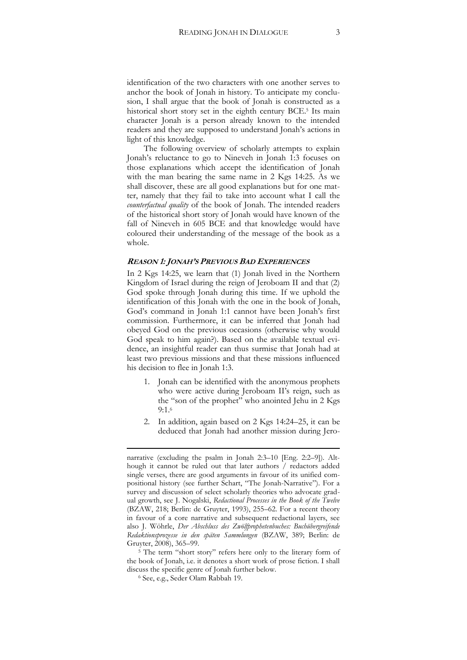identification of the two characters with one another serves to anchor the book of Jonah in history. To anticipate my conclusion, I shall argue that the book of Jonah is constructed as a historical short story set in the eighth century BCE. <sup>5</sup> Its main character Jonah is a person already known to the intended readers and they are supposed to understand Jonah's actions in light of this knowledge.

The following overview of scholarly attempts to explain Jonah's reluctance to go to Nineveh in Jonah 1:3 focuses on those explanations which accept the identification of Jonah with the man bearing the same name in 2 Kgs 14:25. As we shall discover, these are all good explanations but for one matter, namely that they fail to take into account what I call the *counterfactual quality* of the book of Jonah. The intended readers of the historical short story of Jonah would have known of the fall of Nineveh in 605 BCE and that knowledge would have coloured their understanding of the message of the book as a whole.

# **REASON 1: JONAH'S PREVIOUS BAD EXPERIENCES**

In 2 Kgs 14:25, we learn that (1) Jonah lived in the Northern Kingdom of Israel during the reign of Jeroboam II and that (2) God spoke through Jonah during this time. If we uphold the identification of this Jonah with the one in the book of Jonah, God's command in Jonah 1:1 cannot have been Jonah's first commission. Furthermore, it can be inferred that Jonah had obeyed God on the previous occasions (otherwise why would God speak to him again?). Based on the available textual evidence, an insightful reader can thus surmise that Jonah had at least two previous missions and that these missions influenced his decision to flee in Jonah 1:3.

- 1. Jonah can be identified with the anonymous prophets who were active during Jeroboam II's reign, such as the "son of the prophet" who anointed Jehu in 2 Kgs 9:1.<sup>6</sup>
- 2. In addition, again based on 2 Kgs 14:24–25, it can be deduced that Jonah had another mission during Jero-

**.** 

narrative (excluding the psalm in Jonah 2:3–10 [Eng. 2:2–9]). Although it cannot be ruled out that later authors / redactors added single verses, there are good arguments in favour of its unified compositional history (see further Schart, "The Jonah-Narrative"). For a survey and discussion of select scholarly theories who advocate gradual growth, see J. Nogalski, *Redactional Processes in the Book of the Twelve* (BZAW, 218; Berlin: de Gruyter, 1993), 255–62. For a recent theory in favour of a core narrative and subsequent redactional layers, see also J. Wöhrle, *Der Abschluss des Zwölfprophetenbuches: Buchübergreifende Redaktionsprozesse in den späten Sammlungen* (BZAW, 389; Berlin: de Gruyter, 2008), 365–99.

<sup>&</sup>lt;sup>5</sup> The term "short story" refers here only to the literary form of the book of Jonah, i.e. it denotes a short work of prose fiction. I shall discuss the specific genre of Jonah further below.

<sup>6</sup> See, e.g., Seder Olam Rabbah 19.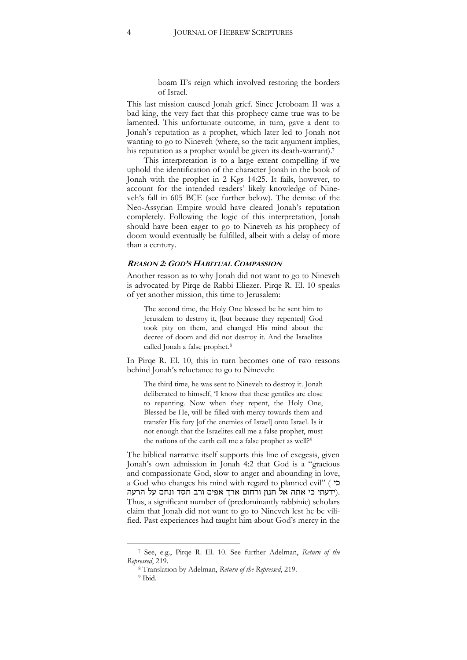boam II's reign which involved restoring the borders of Israel.

This last mission caused Jonah grief. Since Jeroboam II was a bad king, the very fact that this prophecy came true was to be lamented. This unfortunate outcome, in turn, gave a dent to Jonah's reputation as a prophet, which later led to Jonah not wanting to go to Nineveh (where, so the tacit argument implies, his reputation as a prophet would be given its death-warrant).<sup>7</sup>

This interpretation is to a large extent compelling if we uphold the identification of the character Jonah in the book of Jonah with the prophet in 2 Kgs 14:25. It fails, however, to account for the intended readers' likely knowledge of Nineveh's fall in 605 BCE (see further below). The demise of the Neo-Assyrian Empire would have cleared Jonah's reputation completely. Following the logic of this interpretation, Jonah should have been eager to go to Nineveh as his prophecy of doom would eventually be fulfilled, albeit with a delay of more than a century.

## **REASON 2: GOD'S HABITUAL COMPASSION**

Another reason as to why Jonah did not want to go to Nineveh is advocated by Pirqe de Rabbi Eliezer. Pirqe R. El. 10 speaks of yet another mission, this time to Jerusalem:

The second time, the Holy One blessed be he sent him to Jerusalem to destroy it, [but because they repented] God took pity on them, and changed His mind about the decree of doom and did not destroy it. And the Israelites called Jonah a false prophet.<sup>8</sup>

In Pirqe R. El. 10, this in turn becomes one of two reasons behind Jonah's reluctance to go to Nineveh:

The third time, he was sent to Nineveh to destroy it. Jonah deliberated to himself, 'I know that these gentiles are close to repenting. Now when they repent, the Holy One, Blessed be He, will be filled with mercy towards them and transfer His fury [of the enemies of Israel] onto Israel. Is it not enough that the Israelites call me a false prophet, must the nations of the earth call me a false prophet as well?<sup>9</sup>

The biblical narrative itself supports this line of exegesis, given Jonah's own admission in Jonah 4:2 that God is a "gracious and compassionate God, slow to anger and abounding in love, a God who changes his mind with regard to planned evil" ( כי .(ידעתי כי אתה אל חנון ורחום ארך אפים ורב חסד ונחם על הרעה Thus, a significant number of (predominantly rabbinic) scholars claim that Jonah did not want to go to Nineveh lest he be vilified. Past experiences had taught him about God's mercy in the

<sup>7</sup> See, e.g., Pirqe R. El. 10. See further Adelman, *Return of the Repressed*, 219.

<sup>8</sup> Translation by Adelman, *Return of the Repressed*, 219.

<sup>9</sup> Ibid.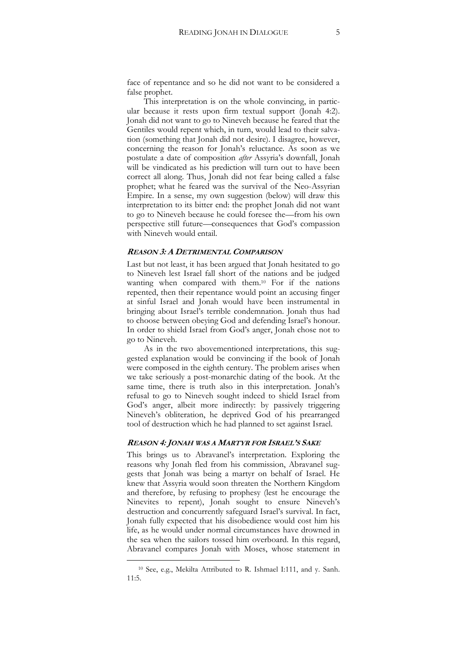face of repentance and so he did not want to be considered a false prophet.

This interpretation is on the whole convincing, in particular because it rests upon firm textual support (Jonah 4:2). Jonah did not want to go to Nineveh because he feared that the Gentiles would repent which, in turn, would lead to their salvation (something that Jonah did not desire). I disagree, however, concerning the reason for Jonah's reluctance. As soon as we postulate a date of composition *after* Assyria's downfall, Jonah will be vindicated as his prediction will turn out to have been correct all along. Thus, Jonah did not fear being called a false prophet; what he feared was the survival of the Neo-Assyrian Empire. In a sense, my own suggestion (below) will draw this interpretation to its bitter end: the prophet Jonah did not want to go to Nineveh because he could foresee the—from his own perspective still future—consequences that God's compassion with Nineveh would entail.

# **REASON 3: A DETRIMENTAL COMPARISON**

Last but not least, it has been argued that Jonah hesitated to go to Nineveh lest Israel fall short of the nations and be judged wanting when compared with them.<sup>10</sup> For if the nations repented, then their repentance would point an accusing finger at sinful Israel and Jonah would have been instrumental in bringing about Israel's terrible condemnation. Jonah thus had to choose between obeying God and defending Israel's honour. In order to shield Israel from God's anger, Jonah chose not to go to Nineveh.

As in the two abovementioned interpretations, this suggested explanation would be convincing if the book of Jonah were composed in the eighth century. The problem arises when we take seriously a post-monarchic dating of the book. At the same time, there is truth also in this interpretation. Jonah's refusal to go to Nineveh sought indeed to shield Israel from God's anger, albeit more indirectly: by passively triggering Nineveh's obliteration, he deprived God of his prearranged tool of destruction which he had planned to set against Israel.

# **REASON 4: JONAH WAS A MARTYR FOR ISRAEL'S SAKE**

This brings us to Abravanel's interpretation. Exploring the reasons why Jonah fled from his commission, Abravanel suggests that Jonah was being a martyr on behalf of Israel. He knew that Assyria would soon threaten the Northern Kingdom and therefore, by refusing to prophesy (lest he encourage the Ninevites to repent), Jonah sought to ensure Nineveh's destruction and concurrently safeguard Israel's survival. In fact, Jonah fully expected that his disobedience would cost him his life, as he would under normal circumstances have drowned in the sea when the sailors tossed him overboard. In this regard, Abravanel compares Jonah with Moses, whose statement in

<sup>10</sup> See, e.g., Mekilta Attributed to R. Ishmael I:111, and y. Sanh. 11:5.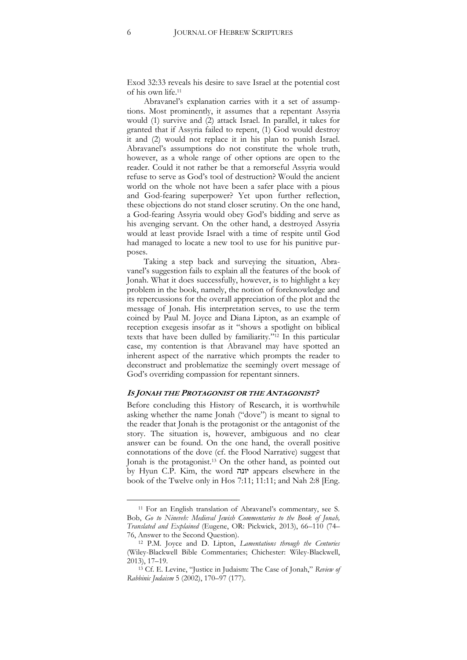Exod 32:33 reveals his desire to save Israel at the potential cost of his own life.<sup>11</sup>

Abravanel's explanation carries with it a set of assumptions. Most prominently, it assumes that a repentant Assyria would (1) survive and (2) attack Israel. In parallel, it takes for granted that if Assyria failed to repent, (1) God would destroy it and (2) would not replace it in his plan to punish Israel. Abravanel's assumptions do not constitute the whole truth, however, as a whole range of other options are open to the reader. Could it not rather be that a remorseful Assyria would refuse to serve as God's tool of destruction? Would the ancient world on the whole not have been a safer place with a pious and God-fearing superpower? Yet upon further reflection, these objections do not stand closer scrutiny. On the one hand, a God-fearing Assyria would obey God's bidding and serve as his avenging servant. On the other hand, a destroyed Assyria would at least provide Israel with a time of respite until God had managed to locate a new tool to use for his punitive purposes.

Taking a step back and surveying the situation, Abravanel's suggestion fails to explain all the features of the book of Jonah. What it does successfully, however, is to highlight a key problem in the book, namely, the notion of foreknowledge and its repercussions for the overall appreciation of the plot and the message of Jonah. His interpretation serves, to use the term coined by Paul M. Joyce and Diana Lipton, as an example of reception exegesis insofar as it "shows a spotlight on biblical texts that have been dulled by familiarity."<sup>12</sup> In this particular case, my contention is that Abravanel may have spotted an inherent aspect of the narrative which prompts the reader to deconstruct and problematize the seemingly overt message of God's overriding compassion for repentant sinners.

# **IS JONAH THE PROTAGONIST OR THE ANTAGONIST?**

Before concluding this History of Research, it is worthwhile asking whether the name Jonah ("dove") is meant to signal to the reader that Jonah is the protagonist or the antagonist of the story. The situation is, however, ambiguous and no clear answer can be found. On the one hand, the overall positive connotations of the dove (cf. the Flood Narrative) suggest that Jonah is the protagonist.<sup>13</sup> On the other hand, as pointed out by Hyun C.P. Kim, the word יונה appears elsewhere in the book of the Twelve only in Hos 7:11; 11:11; and Nah 2:8 [Eng.

<sup>11</sup> For an English translation of Abravanel's commentary, see S. Bob, *Go to Nineveh: Medieval Jewish Commentaries to the Book of Jonah, Translated and Explained* (Eugene, OR: Pickwick, 2013), 66–110 (74– 76, Answer to the Second Question).

<sup>12</sup> P.M. Joyce and D. Lipton, *Lamentations through the Centuries* (Wiley-Blackwell Bible Commentaries; Chichester: Wiley-Blackwell, 2013), 17–19.

<sup>13</sup> Cf. E. Levine, "Justice in Judaism: The Case of Jonah," *Review of Rabbinic Judaism* 5 (2002), 170–97 (177).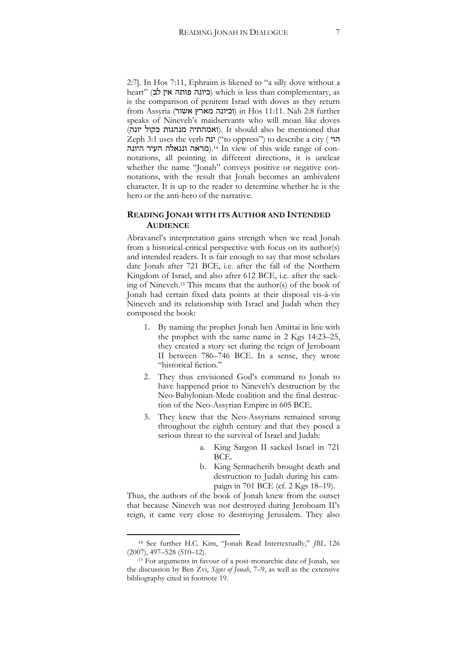2:7]. In Hos 7:11, Ephraim is likened to "a silly dove without a heart" (כיונה פותה אין לב) which is less than complementary, as is the comparison of penitent Israel with doves as they return from Assyria (וכיונה מארץ אשור) in Hos 11:11. Nah 2:8 further speaks of Nineveh's maidservants who will moan like doves (ואמהתיה מנהגות כקול יונה). It should also be mentioned that Zeph 3:1 uses the verb ינה") to oppress") to describe a city ( הוי היונה העיר ונגאלה העיר היונה).<sup>14</sup> In view of this wide range of connotations, all pointing in different directions, it is unclear whether the name "Jonah" conveys positive or negative connotations, with the result that Jonah becomes an ambivalent character. It is up to the reader to determine whether he is the hero or the anti-hero of the narrative.

# **READING JONAH WITH ITS AUTHOR AND INTENDED AUDIENCE**

Abravanel's interpretation gains strength when we read Jonah from a historical-critical perspective with focus on its author(s) and intended readers. It is fair enough to say that most scholars date Jonah after 721 BCE, i.e. after the fall of the Northern Kingdom of Israel, and also after 612 BCE, i.e. after the sacking of Nineveh.<sup>15</sup> This means that the author(s) of the book of Jonah had certain fixed data points at their disposal vis-à-vis Nineveh and its relationship with Israel and Judah when they composed the book:

- 1. By naming the prophet Jonah ben Amittai in line with the prophet with the same name in 2 Kgs 14:23–25, they created a story set during the reign of Jeroboam II between 786–746 BCE. In a sense, they wrote "historical fiction."
- 2. They thus envisioned God's command to Jonah to have happened prior to Nineveh's destruction by the Neo-Babylonian-Mede coalition and the final destruction of the Neo-Assyrian Empire in 605 BCE.
- 3. They knew that the Neo-Assyrians remained strong throughout the eighth century and that they posed a serious threat to the survival of Israel and Judah:
	- a. King Sargon II sacked Israel in 721 BCE.
	- b. King Sennacherib brought death and destruction to Judah during his campaign in 701 BCE (cf. 2 Kgs 18–19).

Thus, the authors of the book of Jonah knew from the outset that because Nineveh was not destroyed during Jeroboam II's reign, it came very close to destroying Jerusalem. They also

<sup>14</sup> See further H.C. Kim, "Jonah Read Intertextually," *JBL* 126 (2007), 497–528 (510–12).

<sup>15</sup> For arguments in favour of a post-monarchic date of Jonah, see the discussion by Ben Zvi, *Signs of Jonah*, 7–9, as well as the extensive bibliography cited in footnote 19.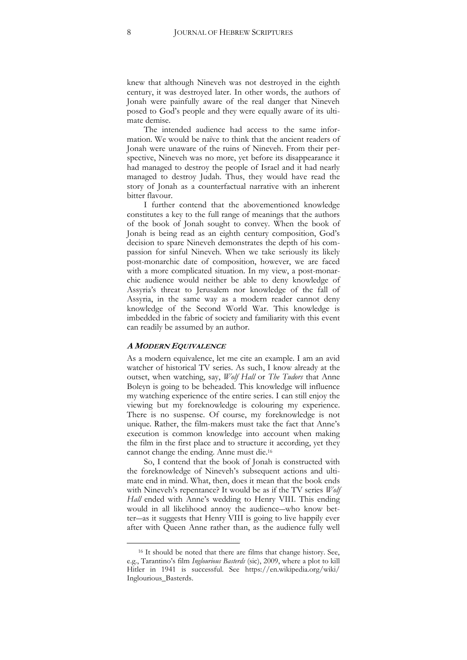knew that although Nineveh was not destroyed in the eighth century, it was destroyed later. In other words, the authors of Jonah were painfully aware of the real danger that Nineveh posed to God's people and they were equally aware of its ultimate demise.

The intended audience had access to the same information. We would be naïve to think that the ancient readers of Jonah were unaware of the ruins of Nineveh. From their perspective, Nineveh was no more, yet before its disappearance it had managed to destroy the people of Israel and it had nearly managed to destroy Judah. Thus, they would have read the story of Jonah as a counterfactual narrative with an inherent bitter flavour.

I further contend that the abovementioned knowledge constitutes a key to the full range of meanings that the authors of the book of Jonah sought to convey. When the book of Jonah is being read as an eighth century composition, God's decision to spare Nineveh demonstrates the depth of his compassion for sinful Nineveh. When we take seriously its likely post-monarchic date of composition, however, we are faced with a more complicated situation. In my view, a post-monarchic audience would neither be able to deny knowledge of Assyria's threat to Jerusalem nor knowledge of the fall of Assyria, in the same way as a modern reader cannot deny knowledge of the Second World War. This knowledge is imbedded in the fabric of society and familiarity with this event can readily be assumed by an author.

# **A MODERN EQUIVALENCE**

 $\overline{a}$ 

As a modern equivalence, let me cite an example. I am an avid watcher of historical TV series. As such, I know already at the outset, when watching, say, *Wolf Hall* or *The Tudors* that Anne Boleyn is going to be beheaded. This knowledge will influence my watching experience of the entire series. I can still enjoy the viewing but my foreknowledge is colouring my experience. There is no suspense. Of course, my foreknowledge is not unique. Rather, the film-makers must take the fact that Anne's execution is common knowledge into account when making the film in the first place and to structure it according, yet they cannot change the ending. Anne must die.<sup>16</sup>

So, I contend that the book of Jonah is constructed with the foreknowledge of Nineveh's subsequent actions and ultimate end in mind. What, then, does it mean that the book ends with Nineveh's repentance? It would be as if the TV series *Wolf Hall* ended with Anne's wedding to Henry VIII. This ending would in all likelihood annoy the audience―who know better―as it suggests that Henry VIII is going to live happily ever after with Queen Anne rather than, as the audience fully well

<sup>16</sup> It should be noted that there are films that change history. See, e.g., Tarantino's film *Inglourious Basterds* (sic), 2009, where a plot to kill Hitler in 1941 is successful. See https://en.wikipedia.org/wiki/ Inglourious\_Basterds.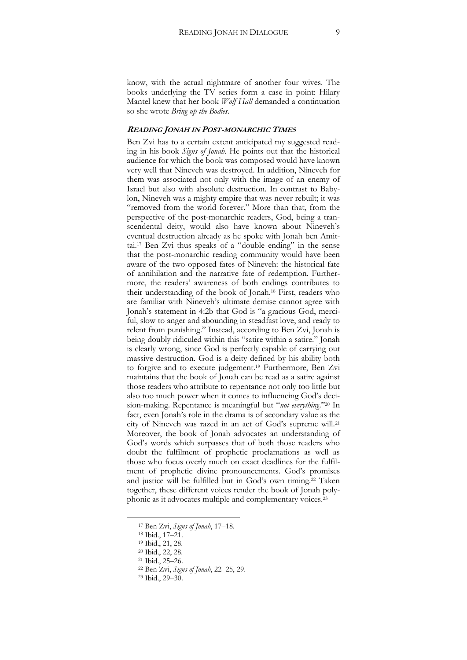know, with the actual nightmare of another four wives. The books underlying the TV series form a case in point: Hilary Mantel knew that her book *Wolf Hall* demanded a continuation so she wrote *Bring up the Bodies*.

## **READING JONAH IN POST-MONARCHIC TIMES**

Ben Zvi has to a certain extent anticipated my suggested reading in his book *Signs of Jonah*. He points out that the historical audience for which the book was composed would have known very well that Nineveh was destroyed. In addition, Nineveh for them was associated not only with the image of an enemy of Israel but also with absolute destruction. In contrast to Babylon, Nineveh was a mighty empire that was never rebuilt; it was "removed from the world forever." More than that, from the perspective of the post-monarchic readers, God, being a transcendental deity, would also have known about Nineveh's eventual destruction already as he spoke with Jonah ben Amittai.<sup>17</sup> Ben Zvi thus speaks of a "double ending" in the sense that the post-monarchic reading community would have been aware of the two opposed fates of Nineveh: the historical fate of annihilation and the narrative fate of redemption. Furthermore, the readers' awareness of both endings contributes to their understanding of the book of Jonah.<sup>18</sup> First, readers who are familiar with Nineveh's ultimate demise cannot agree with Jonah's statement in 4:2b that God is "a gracious God, merciful, slow to anger and abounding in steadfast love, and ready to relent from punishing." Instead, according to Ben Zvi, Jonah is being doubly ridiculed within this "satire within a satire." Jonah is clearly wrong, since God is perfectly capable of carrying out massive destruction. God is a deity defined by his ability both to forgive and to execute judgement.<sup>19</sup> Furthermore, Ben Zvi maintains that the book of Jonah can be read as a satire against those readers who attribute to repentance not only too little but also too much power when it comes to influencing God's decision-making. Repentance is meaningful but "*not everything*."<sup>20</sup> In fact, even Jonah's role in the drama is of secondary value as the city of Nineveh was razed in an act of God's supreme will.<sup>21</sup> Moreover, the book of Jonah advocates an understanding of God's words which surpasses that of both those readers who doubt the fulfilment of prophetic proclamations as well as those who focus overly much on exact deadlines for the fulfilment of prophetic divine pronouncements. God's promises and justice will be fulfilled but in God's own timing.<sup>22</sup> Taken together, these different voices render the book of Jonah polyphonic as it advocates multiple and complementary voices.<sup>23</sup>

<sup>17</sup> Ben Zvi, *Signs of Jonah*, 17–18.

<sup>18</sup> Ibid., 17–21.

<sup>19</sup> Ibid., 21, 28.

<sup>20</sup> Ibid., 22, 28.

<sup>21</sup> Ibid., 25–26.

<sup>22</sup> Ben Zvi, *Signs of Jonah*, 22–25, 29.

<sup>23</sup> Ibid., 29–30.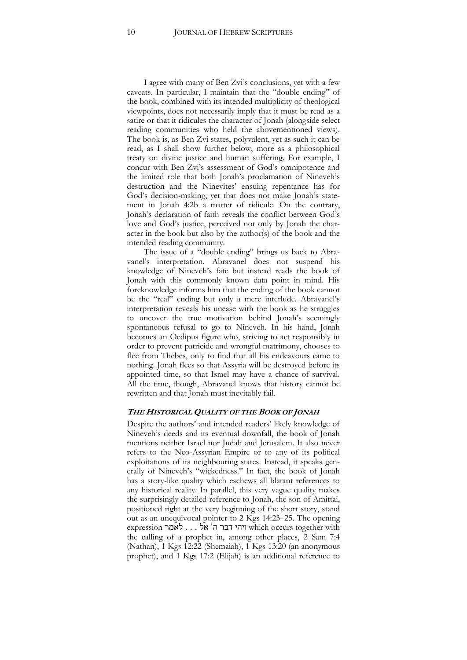I agree with many of Ben Zvi's conclusions, yet with a few caveats. In particular, I maintain that the "double ending" of the book, combined with its intended multiplicity of theological viewpoints, does not necessarily imply that it must be read as a satire or that it ridicules the character of Jonah (alongside select reading communities who held the abovementioned views). The book is, as Ben Zvi states, polyvalent, yet as such it can be read, as I shall show further below, more as a philosophical treaty on divine justice and human suffering. For example, I concur with Ben Zvi's assessment of God's omnipotence and the limited role that both Jonah's proclamation of Nineveh's destruction and the Ninevites' ensuing repentance has for God's decision-making, yet that does not make Jonah's statement in Jonah 4:2b a matter of ridicule. On the contrary, Jonah's declaration of faith reveals the conflict between God's love and God's justice, perceived not only by Jonah the character in the book but also by the author(s) of the book and the intended reading community.

The issue of a "double ending" brings us back to Abravanel's interpretation. Abravanel does not suspend his knowledge of Nineveh's fate but instead reads the book of Jonah with this commonly known data point in mind. His foreknowledge informs him that the ending of the book cannot be the "real" ending but only a mere interlude. Abravanel's interpretation reveals his unease with the book as he struggles to uncover the true motivation behind Jonah's seemingly spontaneous refusal to go to Nineveh. In his hand, Jonah becomes an Oedipus figure who, striving to act responsibly in order to prevent patricide and wrongful matrimony, chooses to flee from Thebes, only to find that all his endeavours came to nothing. Jonah flees so that Assyria will be destroyed before its appointed time, so that Israel may have a chance of survival. All the time, though, Abravanel knows that history cannot be rewritten and that Jonah must inevitably fail.

## **THE HISTORICAL QUALITY OF THE BOOK OF JONAH**

Despite the authors' and intended readers' likely knowledge of Nineveh's deeds and its eventual downfall, the book of Jonah mentions neither Israel nor Judah and Jerusalem. It also never refers to the Neo-Assyrian Empire or to any of its political exploitations of its neighbouring states. Instead, it speaks generally of Nineveh's "wickedness." In fact, the book of Jonah has a story-like quality which eschews all blatant references to any historical reality. In parallel, this very vague quality makes the surprisingly detailed reference to Jonah, the son of Amittai, positioned right at the very beginning of the short story, stand out as an unequivocal pointer to 2 Kgs 14:23–25. The opening with together occurs which ויהי דבר ה' אל . . . לאמר expression the calling of a prophet in, among other places, 2 Sam 7:4 (Nathan), 1 Kgs 12:22 (Shemaiah), 1 Kgs 13:20 (an anonymous prophet), and 1 Kgs 17:2 (Elijah) is an additional reference to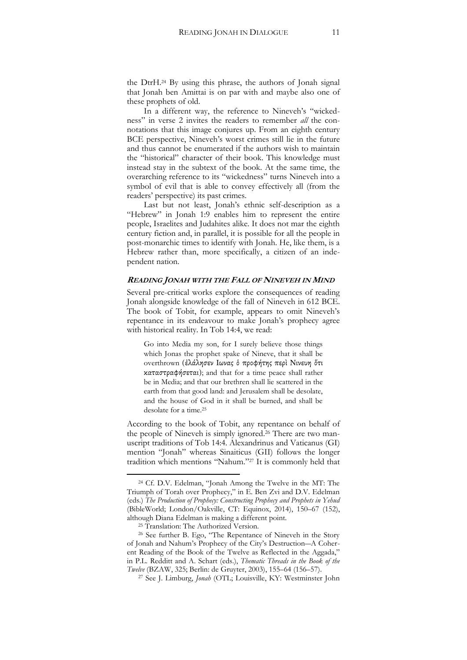the DtrH.<sup>24</sup> By using this phrase, the authors of Jonah signal that Jonah ben Amittai is on par with and maybe also one of these prophets of old.

In a different way, the reference to Nineveh's "wickedness" in verse 2 invites the readers to remember *all* the connotations that this image conjures up. From an eighth century BCE perspective, Nineveh's worst crimes still lie in the future and thus cannot be enumerated if the authors wish to maintain the "historical" character of their book. This knowledge must instead stay in the subtext of the book. At the same time, the overarching reference to its "wickedness" turns Nineveh into a symbol of evil that is able to convey effectively all (from the readers' perspective) its past crimes.

Last but not least, Jonah's ethnic self-description as a "Hebrew" in Jonah 1:9 enables him to represent the entire people, Israelites and Judahites alike. It does not mar the eighth century fiction and, in parallel, it is possible for all the people in post-monarchic times to identify with Jonah. He, like them, is a Hebrew rather than, more specifically, a citizen of an independent nation.

# **READING JONAH WITH THE FALL OF NINEVEH IN MIND**

Several pre-critical works explore the consequences of reading Jonah alongside knowledge of the fall of Nineveh in 612 BCE. The book of Tobit, for example, appears to omit Nineveh's repentance in its endeavour to make Jonah's prophecy agree with historical reality. In Tob 14:4, we read:

Go into Media my son, for I surely believe those things which Jonas the prophet spake of Nineve, that it shall be overthrown (ἐλάλησεν Ιωνας ὁ προφήτης περὶ Νινευη ὅτι καταστραφήσεται); and that for a time peace shall rather be in Media; and that our brethren shall lie scattered in the earth from that good land: and Jerusalem shall be desolate, and the house of God in it shall be burned, and shall be desolate for a time.<sup>25</sup>

According to the book of Tobit, any repentance on behalf of the people of Nineveh is simply ignored.<sup>26</sup> There are two manuscript traditions of Tob 14:4. Alexandrinus and Vaticanus (GI) mention "Jonah" whereas Sinaiticus (GII) follows the longer tradition which mentions "Nahum."<sup>27</sup> It is commonly held that

 $\overline{a}$ 

<sup>27</sup> See J. Limburg, *Jonah* (OTL; Louisville, KY: Westminster John

<sup>24</sup> Cf. D.V. Edelman, "Jonah Among the Twelve in the MT: The Triumph of Torah over Prophecy," in E. Ben Zvi and D.V. Edelman (eds.) *The Production of Prophecy: Constructing Prophecy and Prophets in Yehud* (BibleWorld; London/Oakville, CT: Equinox, 2014), 150–67 (152), although Diana Edelman is making a different point.

<sup>&</sup>lt;sup>25</sup> Translation: The Authorized Version.

<sup>26</sup> See further B. Ego, "The Repentance of Nineveh in the Story of Jonah and Nahum's Prophecy of the City's Destruction―A Coherent Reading of the Book of the Twelve as Reflected in the Aggada," in P.L. Redditt and A. Schart (eds.), *Thematic Threads in the Book of the Twelve* (BZAW, 325; Berlin: de Gruyter, 2003), 155–64 (156–57).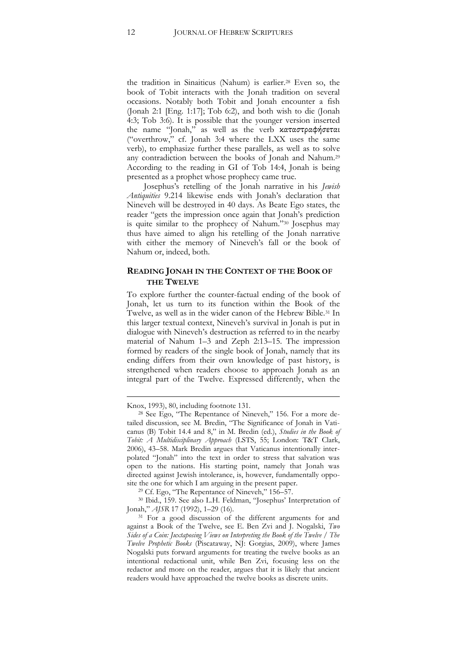the tradition in Sinaiticus (Nahum) is earlier.<sup>28</sup> Even so, the book of Tobit interacts with the Jonah tradition on several occasions. Notably both Tobit and Jonah encounter a fish (Jonah 2:1 [Eng. 1:17]; Tob 6:2), and both wish to die (Jonah 4:3; Tob 3:6). It is possible that the younger version inserted the name "Jonah," as well as the verb καταστραφήσεται ("overthrow," cf. Jonah 3:4 where the LXX uses the same verb), to emphasize further these parallels, as well as to solve any contradiction between the books of Jonah and Nahum.<sup>29</sup> According to the reading in GI of Tob 14:4, Jonah is being presented as a prophet whose prophecy came true.

Josephus's retelling of the Jonah narrative in his *Jewish Antiquities* 9.214 likewise ends with Jonah's declaration that Nineveh will be destroyed in 40 days. As Beate Ego states, the reader "gets the impression once again that Jonah's prediction is quite similar to the prophecy of Nahum."<sup>30</sup> Josephus may thus have aimed to align his retelling of the Jonah narrative with either the memory of Nineveh's fall or the book of Nahum or, indeed, both.

# **READING JONAH IN THE CONTEXT OF THE BOOK OF THE TWELVE**

To explore further the counter-factual ending of the book of Jonah, let us turn to its function within the Book of the Twelve, as well as in the wider canon of the Hebrew Bible.<sup>31</sup> In this larger textual context, Nineveh's survival in Jonah is put in dialogue with Nineveh's destruction as referred to in the nearby material of Nahum 1–3 and Zeph 2:13–15. The impression formed by readers of the single book of Jonah, namely that its ending differs from their own knowledge of past history, is strengthened when readers choose to approach Jonah as an integral part of the Twelve. Expressed differently, when the

**.** 

<sup>29</sup> Cf. Ego, "The Repentance of Nineveh," 156–57.

<sup>30</sup> Ibid., 159. See also L.H. Feldman, "Josephus' Interpretation of Jonah," *AJSR* 17 (1992), 1–29 (16).

Knox, 1993), 80, including footnote 131.

<sup>28</sup> See Ego, "The Repentance of Nineveh," 156. For a more detailed discussion, see M. Bredin, "The Significance of Jonah in Vaticanus (B) Tobit 14.4 and 8," in M. Bredin (ed.), *Studies in the Book of Tobit: A Multidisciplinary Approach* (LSTS, 55; London: T&T Clark, 2006), 43–58. Mark Bredin argues that Vaticanus intentionally interpolated "Jonah" into the text in order to stress that salvation was open to the nations. His starting point, namely that Jonah was directed against Jewish intolerance, is, however, fundamentally opposite the one for which I am arguing in the present paper.

<sup>&</sup>lt;sup>31</sup> For a good discussion of the different arguments for and against a Book of the Twelve, see E. Ben Zvi and J. Nogalski, *Two Sides of a Coin: Juxtaposing Views on Interpreting the Book of the Twelve / The Twelve Prophetic Books* (Piscataway, NJ: Gorgias, 2009), where James Nogalski puts forward arguments for treating the twelve books as an intentional redactional unit, while Ben Zvi, focusing less on the redactor and more on the reader, argues that it is likely that ancient readers would have approached the twelve books as discrete units.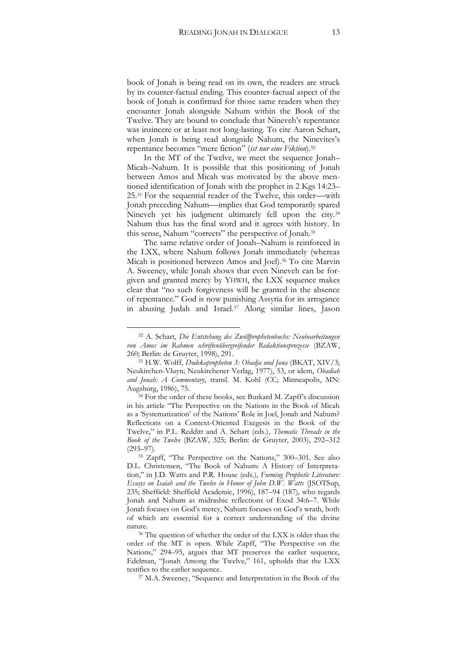book of Jonah is being read on its own, the readers are struck by its counter-factual ending. This counter-factual aspect of the book of Jonah is confirmed for those same readers when they encounter Jonah alongside Nahum within the Book of the Twelve. They are bound to conclude that Nineveh's repentance was insincere or at least not long-lasting. To cite Aaron Schart, when Jonah is being read alongside Nahum, the Ninevites's repentance becomes "mere fiction" (*ist nur eine Fiktion*).<sup>32</sup>

In the MT of the Twelve, we meet the sequence Jonah– Micah–Nahum. It is possible that this positioning of Jonah between Amos and Micah was motivated by the above mentioned identification of Jonah with the prophet in 2 Kgs 14:23– 25.<sup>33</sup> For the sequential reader of the Twelve, this order—with Jonah preceding Nahum—implies that God temporarily spared Nineveh yet his judgment ultimately fell upon the city.<sup>34</sup> Nahum thus has the final word and it agrees with history. In this sense, Nahum "corrects" the perspective of Jonah.<sup>35</sup>

The same relative order of Jonah–Nahum is reinforced in the LXX, where Nahum follows Jonah immediately (whereas Micah is positioned between Amos and Joel).<sup>36</sup> To cite Marvin A. Sweeney, while Jonah shows that even Nineveh can be forgiven and granted mercy by YHWH, the LXX sequence makes clear that "no such forgiveness will be granted in the absence of repentance." God is now punishing Assyria for its arrogance in abusing Judah and Israel.<sup>37</sup> Along similar lines, Jason

 $\overline{a}$ 

<sup>34</sup> For the order of these books, see Burkard M. Zapff's discussion in his article "The Perspective on the Nations in the Book of Micah as a 'Systematization' of the Nations' Role in Joel, Jonah and Nahum? Reflections on a Context-Oriented Exegesis in the Book of the Twelve," in P.L. Redditt and A. Schart (eds.), *Thematic Threads in the Book of the Twelve* (BZAW, 325; Berlin: de Gruyter, 2003), 292–312 (293–97).

<sup>32</sup> A. Schart, *Die Entstehung des Zwölfprophetenbuchs: Neubearbeitungen von Amos im Rahmen schriftenübergreifender Redaktionsprozesse* (BZAW, 260; Berlin: de Gruyter, 1998), 291.

<sup>33</sup> H.W. Wolff, *Dodekapropheton 3: Obadja und Jona* (BKAT, XIV/3; Neukirchen-Vluyn; Neukirchener Verlag, 1977), 53, or idem, *Obadiah and Jonah: A Commentary*, transl. M. Kohl (CC; Minneapolis, MN: Augsburg, 1986), 75.

<sup>35</sup> Zapff, "The Perspective on the Nations," 300–301. See also D.L. Christensen, "The Book of Nahum: A History of Interpretation," in J.D. Watts and P.R. House (eds.), *Forming Prophetic Literature: Essays on Isaiah and the Twelve in Honor of John D.W. Watts* (JSOTSup, 235; Sheffield: Sheffield Academic, 1996), 187–94 (187), who regards Jonah and Nahum as midrashic reflections of Exod 34:6–7. While Jonah focuses on God's mercy, Nahum focuses on God's wrath, both of which are essential for a correct understanding of the divine nature.

<sup>36</sup> The question of whether the order of the LXX is older than the order of the MT is open. While Zapff, "The Perspective on the Nations," 294–95, argues that MT preserves the earlier sequence, Edelman, "Jonah Among the Twelve," 161, upholds that the LXX testifies to the earlier sequence.

<sup>37</sup> M.A. Sweeney, "Sequence and Interpretation in the Book of the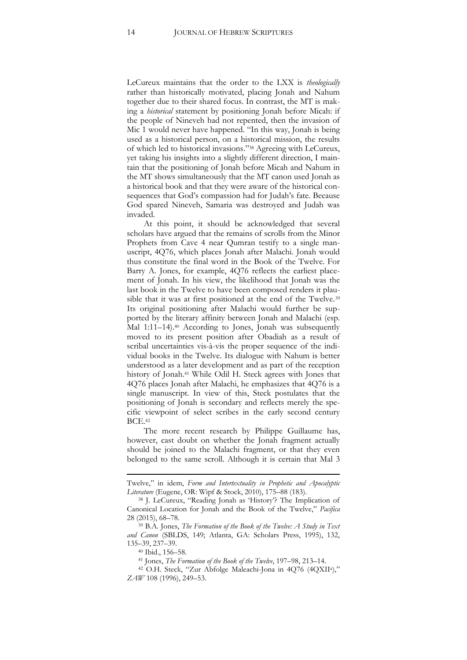LeCureux maintains that the order to the LXX is *theologically* rather than historically motivated, placing Jonah and Nahum together due to their shared focus. In contrast, the MT is making a *historical* statement by positioning Jonah before Micah: if the people of Nineveh had not repented, then the invasion of Mic 1 would never have happened. "In this way, Jonah is being used as a historical person, on a historical mission, the results of which led to historical invasions."<sup>38</sup> Agreeing with LeCureux, yet taking his insights into a slightly different direction, I maintain that the positioning of Jonah before Micah and Nahum in the MT shows simultaneously that the MT canon used Jonah as a historical book and that they were aware of the historical consequences that God's compassion had for Judah's fate. Because God spared Nineveh, Samaria was destroyed and Judah was invaded.

At this point, it should be acknowledged that several scholars have argued that the remains of scrolls from the Minor Prophets from Cave 4 near Qumran testify to a single manuscript, 4Q76, which places Jonah after Malachi. Jonah would thus constitute the final word in the Book of the Twelve. For Barry A. Jones, for example, 4Q76 reflects the earliest placement of Jonah. In his view, the likelihood that Jonah was the last book in the Twelve to have been composed renders it plausible that it was at first positioned at the end of the Twelve.<sup>39</sup> Its original positioning after Malachi would further be supported by the literary affinity between Jonah and Malachi (esp. Mal 1:11–14).<sup>40</sup> According to Jones, Jonah was subsequently moved to its present position after Obadiah as a result of scribal uncertainties vis-à-vis the proper sequence of the individual books in the Twelve. Its dialogue with Nahum is better understood as a later development and as part of the reception history of Jonah.<sup>41</sup> While Odil H. Steck agrees with Jones that 4Q76 places Jonah after Malachi, he emphasizes that 4Q76 is a single manuscript. In view of this, Steck postulates that the positioning of Jonah is secondary and reflects merely the specific viewpoint of select scribes in the early second century BCE. 42

The more recent research by Philippe Guillaume has, however, cast doubt on whether the Jonah fragment actually should be joined to the Malachi fragment, or that they even belonged to the same scroll. Although it is certain that Mal 3

**.** 

Twelve," in idem, *Form and Intertextuality in Prophetic and Apocalyptic Literature* (Eugene, OR: Wipf & Stock, 2010), 175–88 (183).

<sup>38</sup> J. LeCureux, "Reading Jonah as 'History'? The Implication of Canonical Location for Jonah and the Book of the Twelve," *Pacifica* 28 (2015), 68–78.

<sup>39</sup> B.A. Jones, *The Formation of the Book of the Twelve: A Study in Text and Canon* (SBLDS, 149; Atlanta, GA: Scholars Press, 1995), 132, 135–39, 237–39.

<sup>40</sup> Ibid., 156–58.

<sup>41</sup> Jones, *The Formation of the Book of the Twelve*, 197–98, 213–14.

<sup>42</sup> O.H. Steck, "Zur Abfolge Maleachi-Jona in 4Q76 (4QXII<sup>a</sup> )," *ZAW* 108 (1996), 249–53.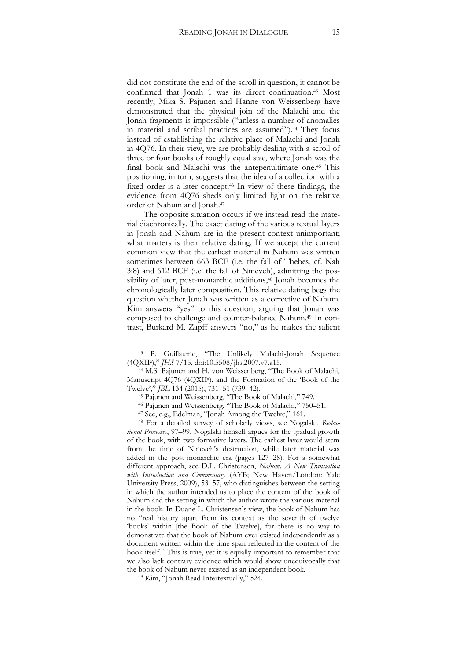did not constitute the end of the scroll in question, it cannot be confirmed that Jonah 1 was its direct continuation.<sup>43</sup> Most recently, Mika S. Pajunen and Hanne von Weissenberg have demonstrated that the physical join of the Malachi and the Jonah fragments is impossible ("unless a number of anomalies in material and scribal practices are assumed").<sup>44</sup> They focus instead of establishing the relative place of Malachi and Jonah in 4Q76. In their view, we are probably dealing with a scroll of three or four books of roughly equal size, where Jonah was the final book and Malachi was the antepenultimate one.<sup>45</sup> This positioning, in turn, suggests that the idea of a collection with a fixed order is a later concept.<sup>46</sup> In view of these findings, the evidence from 4Q76 sheds only limited light on the relative order of Nahum and Jonah.<sup>47</sup>

The opposite situation occurs if we instead read the material diachronically. The exact dating of the various textual layers in Jonah and Nahum are in the present context unimportant; what matters is their relative dating. If we accept the current common view that the earliest material in Nahum was written sometimes between 663 BCE (i.e. the fall of Thebes, cf. Nah 3:8) and 612 BCE (i.e. the fall of Nineveh), admitting the possibility of later, post-monarchic additions,<sup>48</sup> Jonah becomes the chronologically later composition. This relative dating begs the question whether Jonah was written as a corrective of Nahum. Kim answers "yes" to this question, arguing that Jonah was composed to challenge and counter-balance Nahum.<sup>49</sup> In contrast, Burkard M. Zapff answers "no," as he makes the salient

<sup>43</sup> P. Guillaume, "The Unlikely Malachi-Jonah Sequence (4QXII<sup>a</sup> )," *JHS* 7/15, doi:10.5508/jhs.2007.v7.a15.

<sup>44</sup> M.S. Pajunen and H. von Weissenberg, "The Book of Malachi, Manuscript 4Q76 (4QXII<sup>a</sup>), and the Formation of the 'Book of the Twelve'," *JBL* 134 (2015), 731–51 (739–42).

<sup>45</sup> Pajunen and Weissenberg, "The Book of Malachi," 749.

<sup>46</sup> Pajunen and Weissenberg, "The Book of Malachi," 750–51.

<sup>47</sup> See, e.g., Edelman, "Jonah Among the Twelve," 161.

<sup>48</sup> For a detailed survey of scholarly views, see Nogalski, *Redactional Processes*, 97–99. Nogalski himself argues for the gradual growth of the book, with two formative layers. The earliest layer would stem from the time of Nineveh's destruction, while later material was added in the post-monarchic era (pages 127–28). For a somewhat different approach, see D.L. Christensen, *Nahum. A New Translation with Introduction and Commentary* (AYB; New Haven/London: Yale University Press, 2009), 53–57, who distinguishes between the setting in which the author intended us to place the content of the book of Nahum and the setting in which the author wrote the various material in the book. In Duane L. Christensen's view, the book of Nahum has no "real history apart from its context as the seventh of twelve 'books' within [the Book of the Twelve], for there is no way to demonstrate that the book of Nahum ever existed independently as a document written within the time span reflected in the content of the book itself." This is true, yet it is equally important to remember that we also lack contrary evidence which would show unequivocally that the book of Nahum never existed as an independent book.

<sup>49</sup> Kim, "Jonah Read Intertextually," 524.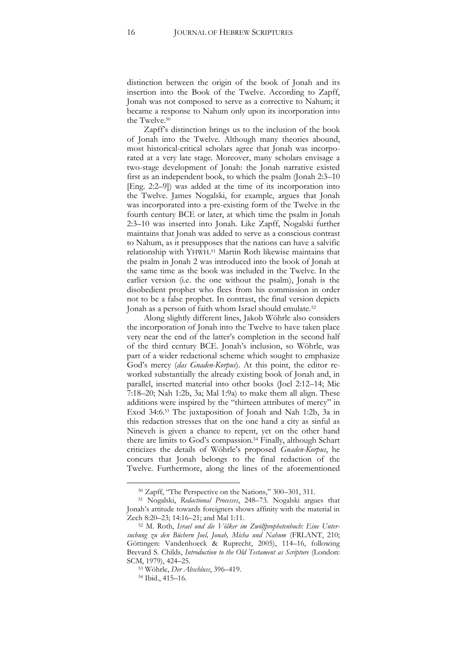distinction between the origin of the book of Jonah and its insertion into the Book of the Twelve. According to Zapff, Jonah was not composed to serve as a corrective to Nahum; it became a response to Nahum only upon its incorporation into the Twelve.<sup>50</sup>

Zapff's distinction brings us to the inclusion of the book of Jonah into the Twelve. Although many theories abound, most historical-critical scholars agree that Jonah was incorporated at a very late stage. Moreover, many scholars envisage a two-stage development of Jonah: the Jonah narrative existed first as an independent book, to which the psalm (Jonah 2:3–10 [Eng. 2:2–9]) was added at the time of its incorporation into the Twelve. James Nogalski, for example, argues that Jonah was incorporated into a pre-existing form of the Twelve in the fourth century BCE or later, at which time the psalm in Jonah 2:3–10 was inserted into Jonah. Like Zapff, Nogalski further maintains that Jonah was added to serve as a conscious contrast to Nahum, as it presupposes that the nations can have a salvific relationship with YHWH. <sup>51</sup> Martin Roth likewise maintains that the psalm in Jonah 2 was introduced into the book of Jonah at the same time as the book was included in the Twelve. In the earlier version (i.e. the one without the psalm), Jonah is the disobedient prophet who flees from his commission in order not to be a false prophet. In contrast, the final version depicts Jonah as a person of faith whom Israel should emulate.<sup>52</sup>

Along slightly different lines, Jakob Wöhrle also considers the incorporation of Jonah into the Twelve to have taken place very near the end of the latter's completion in the second half of the third century BCE. Jonah's inclusion, so Wöhrle, was part of a wider redactional scheme which sought to emphasize God's mercy (*das Gnaden-Korpus*). At this point, the editor reworked substantially the already existing book of Jonah and, in parallel, inserted material into other books (Joel 2:12–14; Mic 7:18–20; Nah 1:2b, 3a; Mal 1:9a) to make them all align. These additions were inspired by the "thirteen attributes of mercy" in Exod 34:6.<sup>53</sup> The juxtaposition of Jonah and Nah 1:2b, 3a in this redaction stresses that on the one hand a city as sinful as Nineveh is given a chance to repent, yet on the other hand there are limits to God's compassion.<sup>54</sup> Finally, although Schart criticizes the details of Wöhrle's proposed *Gnaden-Korpus*, he concurs that Jonah belongs to the final redaction of the Twelve. Furthermore, along the lines of the aforementioned

<sup>50</sup> Zapff, "The Perspective on the Nations," 300–301, 311.

<sup>51</sup> Nogalski, *Redactional Processes*, 248–73. Nogalski argues that Jonah's attitude towards foreigners shows affinity with the material in Zech 8:20–23; 14:16–21; and Mal 1:11.

<sup>52</sup> M. Roth, *Israel und die Völker im Zwölfprophetenbuch: Eine Untersuchung zu den Büchern Joel, Jonah, Micha und Nahum* (FRLANT, 210; Göttingen: Vandenhoeck & Ruprecht, 2005), 114–16, following Brevard S. Childs, *Introduction to the Old Testament as Scripture* (London: SCM, 1979), 424–25.

<sup>53</sup> Wöhrle, *Der Abschluss*, 396–419.

<sup>54</sup> Ibid., 415–16.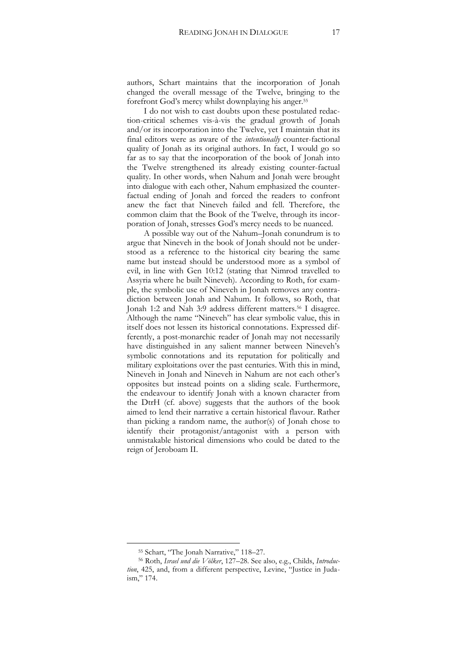authors, Schart maintains that the incorporation of Jonah changed the overall message of the Twelve, bringing to the forefront God's mercy whilst downplaying his anger.<sup>55</sup>

I do not wish to cast doubts upon these postulated redaction-critical schemes vis-à-vis the gradual growth of Jonah and/or its incorporation into the Twelve, yet I maintain that its final editors were as aware of the *intentionally* counter-factional quality of Jonah as its original authors. In fact, I would go so far as to say that the incorporation of the book of Jonah into the Twelve strengthened its already existing counter-factual quality. In other words, when Nahum and Jonah were brought into dialogue with each other, Nahum emphasized the counterfactual ending of Jonah and forced the readers to confront anew the fact that Nineveh failed and fell. Therefore, the common claim that the Book of the Twelve, through its incorporation of Jonah, stresses God's mercy needs to be nuanced.

A possible way out of the Nahum–Jonah conundrum is to argue that Nineveh in the book of Jonah should not be understood as a reference to the historical city bearing the same name but instead should be understood more as a symbol of evil, in line with Gen 10:12 (stating that Nimrod travelled to Assyria where he built Nineveh). According to Roth, for example, the symbolic use of Nineveh in Jonah removes any contradiction between Jonah and Nahum. It follows, so Roth, that Jonah 1:2 and Nah 3:9 address different matters.<sup>56</sup> I disagree. Although the name "Nineveh" has clear symbolic value, this in itself does not lessen its historical connotations. Expressed differently, a post-monarchic reader of Jonah may not necessarily have distinguished in any salient manner between Nineveh's symbolic connotations and its reputation for politically and military exploitations over the past centuries. With this in mind, Nineveh in Jonah and Nineveh in Nahum are not each other's opposites but instead points on a sliding scale. Furthermore, the endeavour to identify Jonah with a known character from the DtrH (cf. above) suggests that the authors of the book aimed to lend their narrative a certain historical flavour. Rather than picking a random name, the author(s) of Jonah chose to identify their protagonist/antagonist with a person with unmistakable historical dimensions who could be dated to the reign of Jeroboam II.

<sup>55</sup> Schart, "The Jonah Narrative," 118–27.

<sup>56</sup> Roth, *Israel und die Völker*, 127–28. See also, e.g., Childs, *Introduction*, 425, and, from a different perspective, Levine, "Justice in Judaism," 174.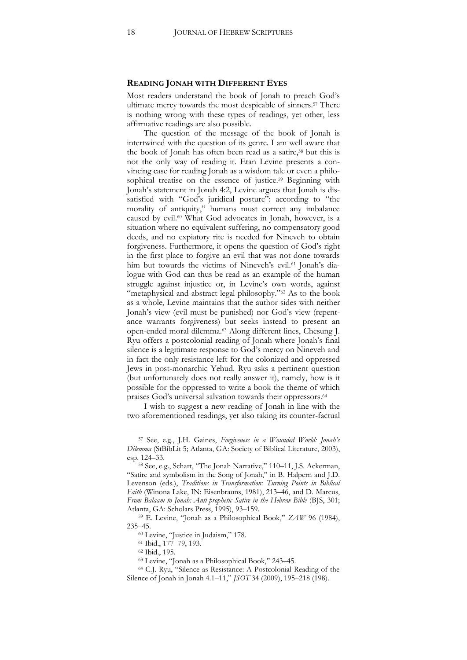#### **READING JONAH WITH DIFFERENT EYES**

Most readers understand the book of Jonah to preach God's ultimate mercy towards the most despicable of sinners.<sup>57</sup> There is nothing wrong with these types of readings, yet other, less affirmative readings are also possible.

The question of the message of the book of Jonah is intertwined with the question of its genre. I am well aware that the book of Jonah has often been read as a satire,<sup>58</sup> but this is not the only way of reading it. Etan Levine presents a convincing case for reading Jonah as a wisdom tale or even a philosophical treatise on the essence of justice.<sup>59</sup> Beginning with Jonah's statement in Jonah 4:2, Levine argues that Jonah is dissatisfied with "God's juridical posture": according to "the morality of antiquity," humans must correct any imbalance caused by evil.<sup>60</sup> What God advocates in Jonah, however, is a situation where no equivalent suffering, no compensatory good deeds, and no expiatory rite is needed for Nineveh to obtain forgiveness. Furthermore, it opens the question of God's right in the first place to forgive an evil that was not done towards him but towards the victims of Nineveh's evil.<sup>61</sup> Jonah's dialogue with God can thus be read as an example of the human struggle against injustice or, in Levine's own words, against "metaphysical and abstract legal philosophy."<sup>62</sup> As to the book as a whole, Levine maintains that the author sides with neither Jonah's view (evil must be punished) nor God's view (repentance warrants forgiveness) but seeks instead to present an open-ended moral dilemma.<sup>63</sup> Along different lines, Chesung J. Ryu offers a postcolonial reading of Jonah where Jonah's final silence is a legitimate response to God's mercy on Nineveh and in fact the only resistance left for the colonized and oppressed Jews in post-monarchic Yehud. Ryu asks a pertinent question (but unfortunately does not really answer it), namely, how is it possible for the oppressed to write a book the theme of which praises God's universal salvation towards their oppressors.<sup>64</sup>

I wish to suggest a new reading of Jonah in line with the two aforementioned readings, yet also taking its counter-factual

<sup>57</sup> See, e.g., J.H. Gaines, *Forgiveness in a Wounded World: Jonah's Dilemma* (StBibLit 5; Atlanta, GA: Society of Biblical Literature, 2003), esp. 124–33.

<sup>58</sup> See, e.g., Schart, "The Jonah Narrative," 110–11, J.S. Ackerman, "Satire and symbolism in the Song of Jonah," in B. Halpern and J.D. Levenson (eds.), *Traditions in Transformation: Turning Points in Biblical Faith* (Winona Lake, IN: Eisenbrauns, 1981), 213–46, and D. Marcus, *From Balaam to Jonah: Anti-prophetic Satire in the Hebrew Bible* (BJS, 301; Atlanta, GA: Scholars Press, 1995), 93–159.

<sup>59</sup> E. Levine, "Jonah as a Philosophical Book," *ZAW* 96 (1984), 235–45.

<sup>60</sup> Levine, "Justice in Judaism," 178.

<sup>61</sup> Ibid., 177–79, 193.

<sup>62</sup> Ibid., 195.

<sup>63</sup> Levine, "Jonah as a Philosophical Book," 243–45.

<sup>64</sup> C.J. Ryu, "Silence as Resistance: A Postcolonial Reading of the Silence of Jonah in Jonah 4.1–11," *JSOT* 34 (2009), 195–218 (198).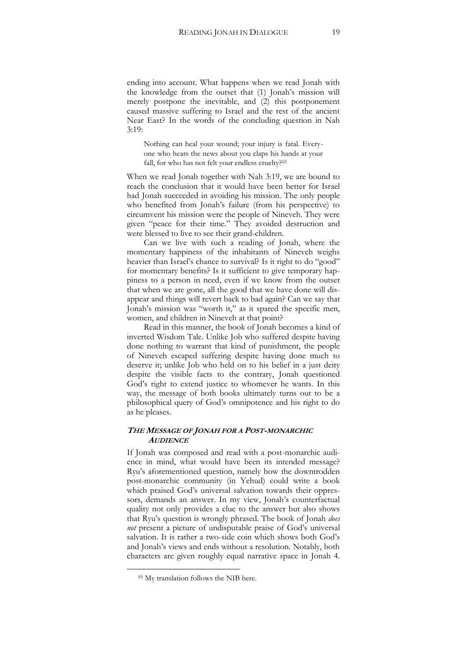ending into account. What happens when we read Jonah with the knowledge from the outset that (1) Jonah's mission will merely postpone the inevitable, and (2) this postponement caused massive suffering to Israel and the rest of the ancient Near East? In the words of the concluding question in Nah 3:19:

Nothing can heal your wound; your injury is fatal. Everyone who hears the news about you claps his hands at your fall, for who has not felt your endless cruelty?<sup>65</sup>

When we read Jonah together with Nah 3:19, we are bound to reach the conclusion that it would have been better for Israel had Jonah succeeded in avoiding his mission. The only people who benefited from Jonah's failure (from his perspective) to circumvent his mission were the people of Nineveh. They were given "peace for their time." They avoided destruction and were blessed to live to see their grand-children.

Can we live with such a reading of Jonah, where the momentary happiness of the inhabitants of Nineveh weighs heavier than Israel's chance to survival? Is it right to do "good" for momentary benefits? Is it sufficient to give temporary happiness to a person in need, even if we know from the outset that when we are gone, all the good that we have done will disappear and things will revert back to bad again? Can we say that Jonah's mission was "worth it," as it spared the specific men, women, and children in Nineveh at that point?

Read in this manner, the book of Jonah becomes a kind of inverted Wisdom Tale. Unlike Job who suffered despite having done nothing to warrant that kind of punishment, the people of Nineveh escaped suffering despite having done much to deserve it; unlike Job who held on to his belief in a just deity despite the visible facts to the contrary, Jonah questioned God's right to extend justice to whomever he wants. In this way, the message of both books ultimately turns out to be a philosophical query of God's omnipotence and his right to do as he pleases.

# **THE MESSAGE OF JONAH FOR A POST-MONARCHIC AUDIENCE**

If Jonah was composed and read with a post-monarchic audience in mind, what would have been its intended message? Ryu's aforementioned question, namely how the downtrodden post-monarchic community (in Yehud) could write a book which praised God's universal salvation towards their oppressors, demands an answer. In my view, Jonah's counterfactual quality not only provides a clue to the answer but also shows that Ryu's question is wrongly phrased. The book of Jonah *does not* present a picture of undisputable praise of God's universal salvation. It is rather a two-side coin which shows both God's and Jonah's views and ends without a resolution. Notably, both characters are given roughly equal narrative space in Jonah 4.

<sup>65</sup> My translation follows the NIB here.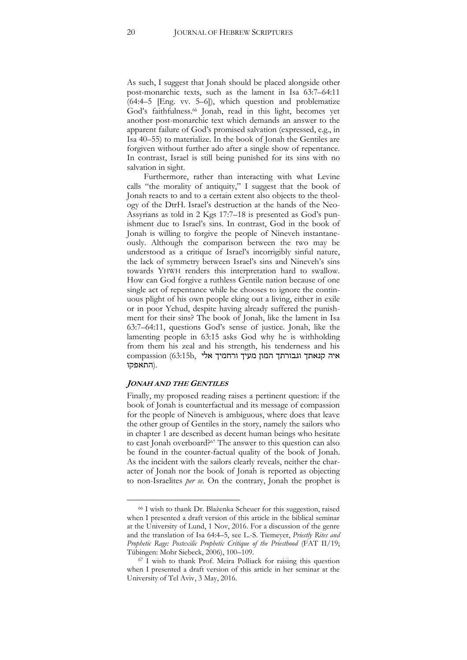As such, I suggest that Jonah should be placed alongside other post-monarchic texts, such as the lament in Isa 63:7–64:11 (64:4–5 [Eng. vv. 5–6]), which question and problematize God's faithfulness.<sup>66</sup> Jonah, read in this light, becomes yet another post-monarchic text which demands an answer to the apparent failure of God's promised salvation (expressed, e.g., in Isa 40–55) to materialize. In the book of Jonah the Gentiles are forgiven without further ado after a single show of repentance. In contrast, Israel is still being punished for its sins with no salvation in sight.

Furthermore, rather than interacting with what Levine calls "the morality of antiquity," I suggest that the book of Jonah reacts to and to a certain extent also objects to the theology of the DtrH. Israel's destruction at the hands of the Neo-Assyrians as told in 2 Kgs 17:7–18 is presented as God's punishment due to Israel's sins. In contrast, God in the book of Jonah is willing to forgive the people of Nineveh instantaneously. Although the comparison between the two may be understood as a critique of Israel's incorrigibly sinful nature, the lack of symmetry between Israel's sins and Nineveh's sins towards YHWH renders this interpretation hard to swallow. How can God forgive a ruthless Gentile nation because of one single act of repentance while he chooses to ignore the continuous plight of his own people eking out a living, either in exile or in poor Yehud, despite having already suffered the punishment for their sins? The book of Jonah, like the lament in Isa 63:7–64:11, questions God's sense of justice. Jonah, like the lamenting people in 63:15 asks God why he is withholding from them his zeal and his strength, his tenderness and his איה קנאתך וגבורתך המון מעיך ורחמיך אלי ,b63:15 (compassion .(התאפקו

# **JONAH AND THE GENTILES**

 $\overline{a}$ 

Finally, my proposed reading raises a pertinent question: if the book of Jonah is counterfactual and its message of compassion for the people of Nineveh is ambiguous, where does that leave the other group of Gentiles in the story, namely the sailors who in chapter 1 are described as decent human beings who hesitate to cast Jonah overboard?<sup>67</sup> The answer to this question can also be found in the counter-factual quality of the book of Jonah. As the incident with the sailors clearly reveals, neither the character of Jonah nor the book of Jonah is reported as objecting to non-Israelites *per se*. On the contrary, Jonah the prophet is

<sup>66</sup> I wish to thank Dr. Blaženka Scheuer for this suggestion, raised when I presented a draft version of this article in the biblical seminar at the University of Lund, 1 Nov, 2016. For a discussion of the genre and the translation of Isa 64:4–5, see L.-S. Tiemeyer, *Priestly Rites and Prophetic Rage: Postexilic Prophetic Critique of the Priesthood* (FAT II/19; Tübingen: Mohr Siebeck, 2006), 100–109.

<sup>67</sup> I wish to thank Prof. Meira Polliack for raising this question when I presented a draft version of this article in her seminar at the University of Tel Aviv, 3 May, 2016.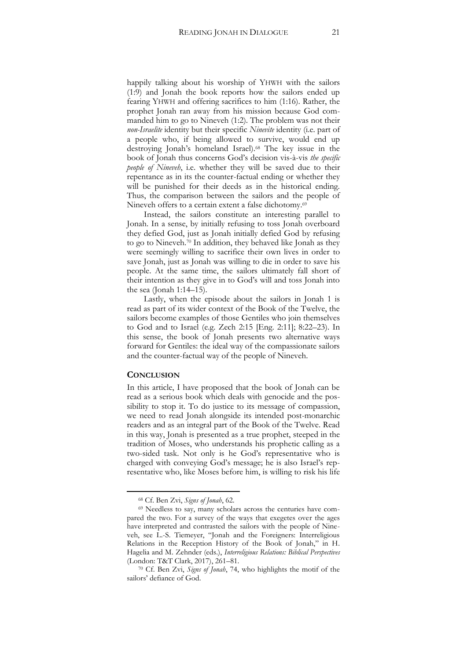happily talking about his worship of YHWH with the sailors (1:9) and Jonah the book reports how the sailors ended up fearing YHWH and offering sacrifices to him (1:16). Rather, the prophet Jonah ran away from his mission because God commanded him to go to Nineveh (1:2). The problem was not their *non-Israelite* identity but their specific *Ninevite* identity (i.e. part of a people who, if being allowed to survive, would end up destroying Jonah's homeland Israel).<sup>68</sup> The key issue in the book of Jonah thus concerns God's decision vis-à-vis *the specific people of Nineveh*, i.e. whether they will be saved due to their repentance as in its the counter-factual ending or whether they will be punished for their deeds as in the historical ending. Thus, the comparison between the sailors and the people of Nineveh offers to a certain extent a false dichotomy.<sup>69</sup>

Instead, the sailors constitute an interesting parallel to Jonah. In a sense, by initially refusing to toss Jonah overboard they defied God, just as Jonah initially defied God by refusing to go to Nineveh.<sup>70</sup> In addition, they behaved like Jonah as they were seemingly willing to sacrifice their own lives in order to save Jonah, just as Jonah was willing to die in order to save his people. At the same time, the sailors ultimately fall short of their intention as they give in to God's will and toss Jonah into the sea (Jonah 1:14–15).

Lastly, when the episode about the sailors in Jonah 1 is read as part of its wider context of the Book of the Twelve, the sailors become examples of those Gentiles who join themselves to God and to Israel (e.g. Zech 2:15 [Eng. 2:11]; 8:22–23). In this sense, the book of Jonah presents two alternative ways forward for Gentiles: the ideal way of the compassionate sailors and the counter-factual way of the people of Nineveh.

# **CONCLUSION**

 $\overline{a}$ 

In this article, I have proposed that the book of Jonah can be read as a serious book which deals with genocide and the possibility to stop it. To do justice to its message of compassion, we need to read Jonah alongside its intended post-monarchic readers and as an integral part of the Book of the Twelve. Read in this way, Jonah is presented as a true prophet, steeped in the tradition of Moses, who understands his prophetic calling as a two-sided task. Not only is he God's representative who is charged with conveying God's message; he is also Israel's representative who, like Moses before him, is willing to risk his life

<sup>68</sup> Cf. Ben Zvi, *Signs of Jonah*, 62.

<sup>69</sup> Needless to say, many scholars across the centuries have compared the two. For a survey of the ways that exegetes over the ages have interpreted and contrasted the sailors with the people of Nineveh, see L.-S. Tiemeyer, "Jonah and the Foreigners: Interreligious Relations in the Reception History of the Book of Jonah," in H. Hagelia and M. Zehnder (eds.), *Interreligious Relations: Biblical Perspectives* (London: T&T Clark, 2017), 261–81.

<sup>70</sup> Cf. Ben Zvi, *Signs of Jonah*, 74, who highlights the motif of the sailors' defiance of God.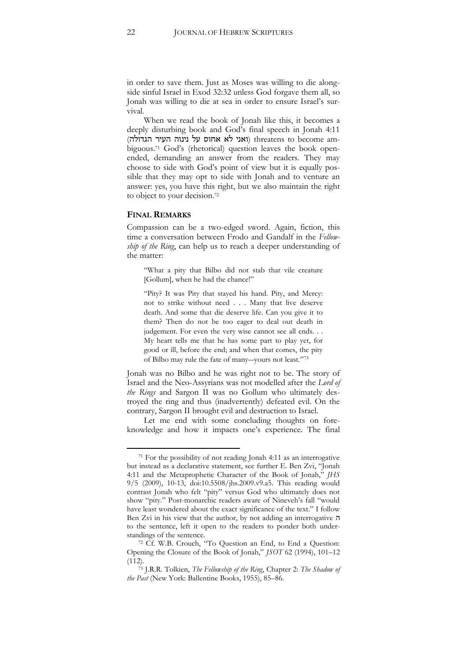in order to save them. Just as Moses was willing to die alongside sinful Israel in Exod 32:32 unless God forgave them all, so Jonah was willing to die at sea in order to ensure Israel's survival.

When we read the book of Jonah like this, it becomes a deeply disturbing book and God's final speech in Jonah 4:11 (ואני לא אחוס על נינוה העיר הגדולה) threatens to become ambiguous.<sup>71</sup> God's (rhetorical) question leaves the book openended, demanding an answer from the readers. They may choose to side with God's point of view but it is equally possible that they may opt to side with Jonah and to venture an answer: yes, you have this right, but we also maintain the right to object to your decision.<sup>72</sup>

#### **FINAL REMARKS**

 $\overline{a}$ 

Compassion can be a two-edged sword. Again, fiction, this time a conversation between Frodo and Gandalf in the *Fellowship of the Ring*, can help us to reach a deeper understanding of the matter:

"What a pity that Bilbo did not stab that vile creature [Gollum], when he had the chance!"

"Pity? It was Pity that stayed his hand. Pity, and Mercy: not to strike without need . . . Many that live deserve death. And some that die deserve life. Can you give it to them? Then do not be too eager to deal out death in judgement. For even the very wise cannot see all ends. . . My heart tells me that he has some part to play yet, for good or ill, before the end; and when that comes, the pity of Bilbo may rule the fate of many―yours not least." 73

Jonah was no Bilbo and he was right not to be. The story of Israel and the Neo-Assyrians was not modelled after the *Lord of the Rings* and Sargon II was no Gollum who ultimately destroyed the ring and thus (inadvertently) defeated evil. On the contrary, Sargon II brought evil and destruction to Israel.

Let me end with some concluding thoughts on foreknowledge and how it impacts one's experience. The final

<sup>71</sup> For the possibility of not reading Jonah 4:11 as an interrogative but instead as a declarative statement, see further E. Ben Zvi, "Jonah 4:11 and the Metaprophetic Character of the Book of Jonah," *JHS* 9/5 (2009), 10-13, doi:10.5508/jhs.2009.v9.a5. This reading would contrast Jonah who felt "pity" versus God who ultimately does not show "pity." Post-monarchic readers aware of Nineveh's fall "would have least wondered about the exact significance of the text." I follow Ben Zvi in his view that the author, by not adding an interrogative ה to the sentence, left it open to the readers to ponder both understandings of the sentence.

<sup>72</sup> Cf. W.B. Crouch, "To Question an End, to End a Question: Opening the Closure of the Book of Jonah," *JSOT* 62 (1994), 101–12  $(112)$ .

<sup>73</sup> J.R.R. Tolkien, *The Fellowship of the Ring*, Chapter 2: *The Shadow of the Past* (New York: Ballentine Books, 1955), 85–86.